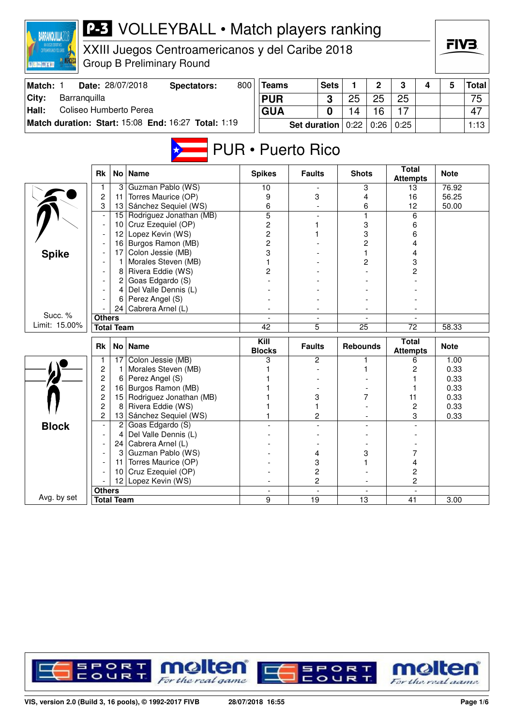| CONTIGUATION AND THE CARRE<br>图照画图图画 |                          |                 | XXIII Juegos Centroamericanos y del Caribe 2018<br><b>Group B Preliminary Round</b> |     |                          |                     |                |                 |                          |                                 |   | FIV3.          |       |
|--------------------------------------|--------------------------|-----------------|-------------------------------------------------------------------------------------|-----|--------------------------|---------------------|----------------|-----------------|--------------------------|---------------------------------|---|----------------|-------|
| Match: 1                             |                          |                 | Date: 28/07/2018<br><b>Spectators:</b>                                              | 800 | <b>Teams</b>             |                     | <b>Sets</b>    | 1               | $\mathbf 2$              | 3                               | 4 | 5              | Total |
| City:<br>Barranquilla                |                          |                 |                                                                                     |     | <b>PUR</b>               |                     | 3              | 25              | 25                       | 25                              |   |                | 75    |
| Coliseo Humberto Perea<br>Hall:      |                          |                 |                                                                                     |     | <b>GUA</b>               |                     | 0              | 14              | 16                       | 17                              |   |                | 47    |
|                                      |                          |                 | Match duration: Start: 15:08 End: 16:27 Total: 1:19                                 |     |                          |                     |                |                 |                          |                                 |   |                |       |
|                                      |                          |                 |                                                                                     |     |                          | <b>Set duration</b> |                | 0:22            | 0:26                     | 0:25                            |   |                | 1:13  |
|                                      | Rk                       |                 | <b>PUR</b> • Puerto Rico<br>No   Name                                               |     | <b>Spikes</b>            | <b>Faults</b>       |                | <b>Shots</b>    |                          | <b>Total</b>                    |   | <b>Note</b>    |       |
|                                      |                          |                 |                                                                                     |     |                          |                     |                |                 |                          | <b>Attempts</b>                 |   |                |       |
|                                      | 1<br>$\overline{c}$      | 3               | Guzman Pablo (WS)<br>Torres Maurice (OP)                                            |     | 10                       |                     |                |                 | 3<br>4                   | 13                              |   | 76.92          |       |
|                                      | 3                        | 11              | 13 Sánchez Sequiel (WS)                                                             |     | 9<br>6                   |                     | 3              |                 | 6                        | 16<br>12                        |   | 56.25<br>50.00 |       |
|                                      | $\overline{\phantom{a}}$ | 15              | Rodriguez Jonathan (MB)                                                             |     | $\overline{5}$           |                     |                | 1               |                          | 6                               |   |                |       |
|                                      |                          | 10 <sup>°</sup> | Cruz Ezequiel (OP)                                                                  |     | 2                        | 1                   |                |                 | 3                        | 6                               |   |                |       |
|                                      |                          | 12              | Lopez Kevin (WS)                                                                    |     | 2                        |                     |                |                 | 3                        | 6                               |   |                |       |
|                                      |                          | 16              | Burgos Ramon (MB)                                                                   |     | 2                        |                     |                |                 | 2                        | 4                               |   |                |       |
| <b>Spike</b>                         |                          | 17              | Colon Jessie (MB)                                                                   |     | 3                        |                     |                |                 |                          | 4                               |   |                |       |
|                                      |                          | 1               | Morales Steven (MB)                                                                 |     |                          |                     |                |                 | 2                        | 3                               |   |                |       |
|                                      |                          | 8               | Rivera Eddie (WS)                                                                   |     | 2                        |                     |                |                 |                          | 2                               |   |                |       |
|                                      |                          |                 | $2  $ Goas Edgardo (S)                                                              |     |                          |                     |                |                 |                          |                                 |   |                |       |
|                                      |                          | 4               | Del Valle Dennis (L)                                                                |     |                          |                     |                |                 |                          |                                 |   |                |       |
|                                      |                          | 6               | Perez Angel (S)                                                                     |     |                          |                     |                |                 |                          |                                 |   |                |       |
| Succ. %                              |                          | 24              | Cabrera Arnel (L)                                                                   |     |                          |                     |                |                 |                          |                                 |   |                |       |
| Limit: 15.00%                        | <b>Others</b>            |                 |                                                                                     |     |                          |                     |                |                 |                          |                                 |   |                |       |
|                                      | <b>Total Team</b>        |                 |                                                                                     |     | 42                       |                     | 5              | 25              |                          | 72                              |   | 58.33          |       |
|                                      | Rk                       | No <sub>1</sub> | <b>Name</b>                                                                         |     | Kill<br><b>Blocks</b>    | <b>Faults</b>       |                | <b>Rebounds</b> |                          | <b>Total</b><br><b>Attempts</b> |   | <b>Note</b>    |       |
|                                      | 1                        | 17              | Colon Jessie (MB)                                                                   |     | 3                        |                     | 2              |                 |                          | 6                               |   | 1.00           |       |
|                                      | $\overline{c}$           | -1              | Morales Steven (MB)                                                                 |     |                          |                     |                |                 |                          | 2                               |   | 0.33           |       |
|                                      | $\overline{c}$           | 6               | Perez Angel (S)                                                                     |     |                          |                     |                |                 |                          |                                 |   | 0.33           |       |
|                                      | 2                        | 16              | Burgos Ramon (MB)                                                                   |     |                          |                     |                |                 |                          | 1                               |   | 0.33           |       |
|                                      | $\overline{c}$           | 15              | Rodriguez Jonathan (MB)                                                             |     |                          | 3                   |                |                 | 7                        | 11                              |   | 0.33           |       |
|                                      | $\overline{c}$<br>2      | 8<br>13         | Rivera Eddie (WS)<br>Sánchez Sequiel (WS)                                           |     |                          | 1                   | 2              |                 |                          | 2<br>3                          |   | 0.33<br>0.33   |       |
|                                      | $\blacksquare$           | 2               | Goas Edgardo (S)                                                                    |     |                          |                     |                |                 |                          |                                 |   |                |       |
| <b>Block</b>                         |                          | 4               | Del Valle Dennis (L)                                                                |     |                          |                     |                |                 |                          |                                 |   |                |       |
|                                      |                          |                 | 24   Cabrera Arnel (L)                                                              |     |                          |                     |                |                 |                          |                                 |   |                |       |
|                                      |                          | 3               | Guzman Pablo (WS)                                                                   |     |                          |                     | 4              |                 | 3                        | 7                               |   |                |       |
|                                      |                          | 11              | Torres Maurice (OP)                                                                 |     |                          | 3                   |                |                 |                          | 4                               |   |                |       |
|                                      |                          | 10 I            | Cruz Ezequiel (OP)                                                                  |     |                          |                     | 2              |                 |                          | 2                               |   |                |       |
|                                      |                          | 12 <sub>1</sub> | Lopez Kevin (WS)                                                                    |     |                          |                     | $\overline{c}$ |                 |                          | 2                               |   |                |       |
|                                      | <b>Others</b>            |                 |                                                                                     |     | $\overline{\phantom{a}}$ |                     | $\blacksquare$ |                 | $\overline{\phantom{a}}$ | $\overline{\phantom{a}}$        |   |                |       |
| Avg. by set                          | <b>Total Team</b>        |                 |                                                                                     |     | 9                        | 19                  |                | 13              |                          | 41                              |   | 3.00           |       |

**BARRANQUILLA2018** 

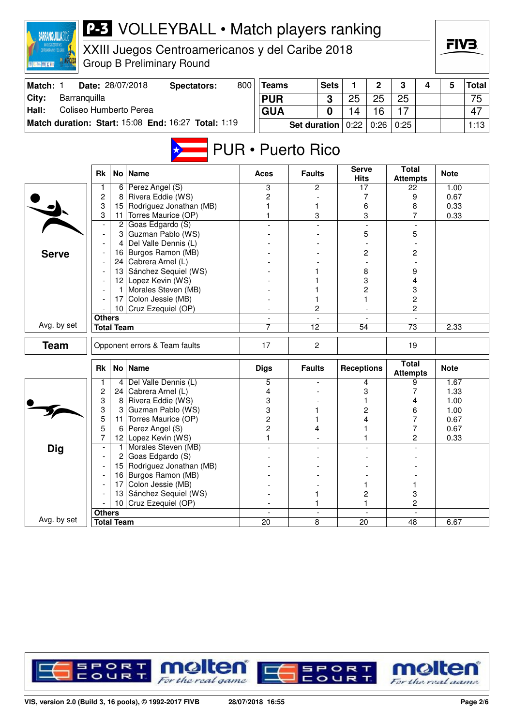| <b>BARRANQUILLA20</b>           |                     |                   | <b>P-3</b> VOLLEYBALL • Match players ranking       |     |                          |                     |                          |                             |                |                                 |   |              |              |
|---------------------------------|---------------------|-------------------|-----------------------------------------------------|-----|--------------------------|---------------------|--------------------------|-----------------------------|----------------|---------------------------------|---|--------------|--------------|
| ENTROANERICANOS Y DEL CARNE     |                     |                   | XXIII Juegos Centroamericanos y del Caribe 2018     |     |                          |                     |                          |                             |                |                                 |   | FIV3.        |              |
| 图 R. [m.] [69] X [m]            |                     |                   | <b>Group B Preliminary Round</b>                    |     |                          |                     |                          |                             |                |                                 |   |              |              |
| Match: 1                        |                     |                   | Date: 28/07/2018<br><b>Spectators:</b>              | 800 | <b>Teams</b>             |                     | <b>Sets</b>              | 1                           | $\overline{2}$ | 3                               | 4 | 5            | <b>Total</b> |
| City:<br>Barranquilla           |                     |                   |                                                     |     | <b>PUR</b>               |                     | 3                        | 25                          | 25             | 25                              |   |              | 75           |
| Coliseo Humberto Perea<br>Hall: |                     |                   |                                                     |     | <b>GUA</b>               |                     | 0                        | 14                          | 16             | 17                              |   |              | 47           |
|                                 |                     |                   | Match duration: Start: 15:08 End: 16:27 Total: 1:19 |     |                          | <b>Set duration</b> |                          | 0:22                        | 0:26           | 0:25                            |   |              | 1:13         |
|                                 |                     |                   |                                                     |     | <b>PUR</b> • Puerto Rico |                     |                          |                             |                |                                 |   |              |              |
|                                 | <b>Rk</b>           |                   | No   Name                                           |     | Aces                     | <b>Faults</b>       |                          | <b>Serve</b><br><b>Hits</b> |                | <b>Total</b><br><b>Attempts</b> |   | <b>Note</b>  |              |
|                                 | 1                   | $6 \mid$          | Perez Angel (S)                                     |     | 3                        | 2                   |                          | 17                          |                | 22                              |   | 1.00         |              |
|                                 | $\overline{c}$<br>3 | 8<br>15           | Rivera Eddie (WS)<br>Rodriguez Jonathan (MB)        |     | 2                        |                     |                          |                             | 7              | 9                               |   | 0.67         |              |
|                                 | 3                   |                   | 11   Torres Maurice (OP)                            |     | 1                        | 1<br>3              |                          |                             | 6<br>3         | 8<br>7                          |   | 0.33<br>0.33 |              |
|                                 |                     | $\overline{c}$    | Goas Edgardo (S)                                    |     |                          |                     |                          |                             |                |                                 |   |              |              |
|                                 |                     | 3                 | Guzman Pablo (WS)                                   |     |                          |                     |                          |                             | 5              | 5                               |   |              |              |
|                                 |                     | 4                 | Del Valle Dennis (L)                                |     |                          |                     |                          |                             |                |                                 |   |              |              |
| <b>Serve</b>                    |                     | 16                | Burgos Ramon (MB)                                   |     |                          |                     |                          |                             | 2              | 2                               |   |              |              |
|                                 |                     |                   | 24   Cabrera Arnel (L)                              |     |                          |                     |                          |                             |                |                                 |   |              |              |
|                                 |                     |                   | 13 Sánchez Sequiel (WS)                             |     |                          |                     |                          |                             | 8              | 9                               |   |              |              |
|                                 |                     | 1                 | 12 Lopez Kevin (WS)<br>Morales Steven (MB)          |     |                          |                     |                          |                             | 3<br>2         | 4<br>3                          |   |              |              |
|                                 |                     | 17                | Colon Jessie (MB)                                   |     |                          | 1                   |                          |                             |                | 2                               |   |              |              |
|                                 |                     |                   | 10 Cruz Ezequiel (OP)                               |     |                          | 2                   |                          |                             |                | $\overline{2}$                  |   |              |              |
|                                 | <b>Others</b>       |                   |                                                     |     |                          |                     |                          |                             |                |                                 |   |              |              |
| Avg. by set                     |                     | <b>Total Team</b> |                                                     |     | 7                        | $\overline{12}$     |                          | $\overline{54}$             |                | $\overline{73}$                 |   | 2.33         |              |
| <b>Team</b>                     |                     |                   | Opponent errors & Team faults                       |     | 17                       | $\overline{c}$      |                          |                             |                | 19                              |   |              |              |
|                                 | <b>Rk</b>           |                   | No   Name                                           |     | <b>Digs</b>              | <b>Faults</b>       |                          | <b>Receptions</b>           |                | <b>Total</b><br><b>Attempts</b> |   | <b>Note</b>  |              |
|                                 |                     | 4                 | Del Valle Dennis (L)                                |     | 5                        |                     |                          |                             | 4              | 9                               |   | 1.67         |              |
|                                 | $\boldsymbol{2}$    | 24                | Cabrera Arnel (L)                                   |     | 4                        |                     |                          |                             | 3              | 7                               |   | 1.33         |              |
|                                 | 3                   | 8                 | Rivera Eddie (WS)                                   |     | 3                        |                     |                          |                             | 1              | 4                               |   | 1.00         |              |
|                                 | 3<br>5              | З<br>11           | Guzman Pablo (WS)<br>Torres Maurice (OP)            |     | 3<br>$\overline{c}$      | 1<br>1              |                          |                             | 2<br>4         | 6<br>7                          |   | 1.00<br>0.67 |              |
|                                 | 5                   | 6                 | Perez Angel (S)                                     |     | $\overline{c}$           | 4                   |                          |                             |                | 7                               |   | 0.67         |              |
|                                 | 7                   |                   | 12 Lopez Kevin (WS)                                 |     |                          |                     |                          |                             |                | $\overline{c}$                  |   | 0.33         |              |
| <b>Dig</b>                      |                     | 1                 | Morales Steven (MB)                                 |     |                          |                     |                          |                             |                |                                 |   |              |              |
|                                 |                     | 2                 | Goas Edgardo (S)                                    |     |                          |                     |                          |                             |                |                                 |   |              |              |
|                                 |                     | 15                | Rodriguez Jonathan (MB)                             |     |                          |                     |                          |                             |                |                                 |   |              |              |
|                                 |                     | 16                | Burgos Ramon (MB)                                   |     |                          |                     |                          |                             |                |                                 |   |              |              |
|                                 |                     | 17                | Colon Jessie (MB)<br>13 Sánchez Sequiel (WS)        |     |                          | 1                   |                          |                             | 1<br>2         | 1<br>$\ensuremath{\mathsf{3}}$  |   |              |              |
|                                 |                     |                   | 10 Cruz Ezequiel (OP)                               |     |                          | 1                   |                          |                             | 1              | $\overline{c}$                  |   |              |              |
|                                 | <b>Others</b>       |                   |                                                     |     | $\overline{\phantom{a}}$ |                     | $\overline{\phantom{a}}$ |                             | $\blacksquare$ |                                 |   |              |              |
| Avg. by set                     |                     | <b>Total Team</b> |                                                     |     | 20                       | $\overline{8}$      |                          | 20                          |                | 48                              |   | 6.67         |              |

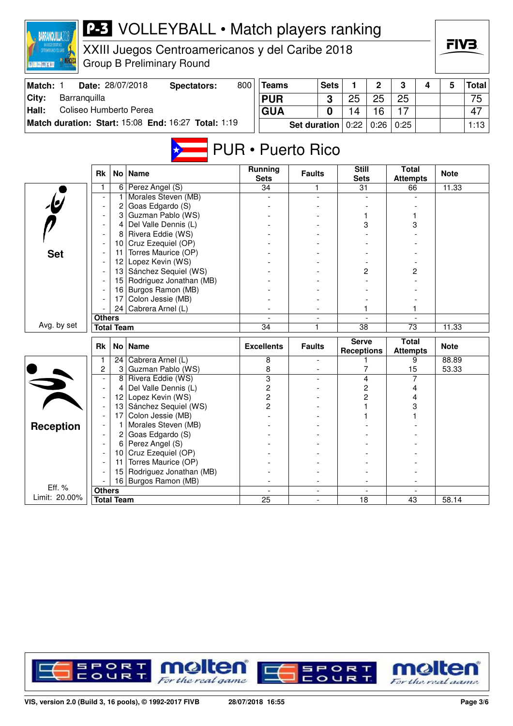

XXIII Juegos Centroamericanos y del Caribe 2018 Group B Preliminary Round

| ⊪Match: | Date: 28/07/2018                                    | Spectators: | 800 | <b>Teams</b>                 | <b>Sets</b> |    |      | 3    |  | <b>Total</b> |
|---------|-----------------------------------------------------|-------------|-----|------------------------------|-------------|----|------|------|--|--------------|
| ∣City:  | Barranguilla                                        |             |     | <b>PUR</b>                   | ≏           | 25 | 25   | 25   |  | 75           |
| Hall:   | Coliseo Humberto Perea                              |             |     | <b>GUA</b>                   |             | 4  | 16   |      |  | 47           |
|         | Match duration: Start: 15:08 End: 16:27 Total: 1:19 |             |     | <b>Set duration</b> $ 0:22 $ |             |    | 0:26 | 0:25 |  | 1:13         |

# PUR • Puerto Rico

|                         | <b>Rk</b>                |                   | No   Name               | Running<br><b>Sets</b>  | <b>Faults</b>  | <b>Still</b><br><b>Sets</b>       | <b>Total</b><br><b>Attempts</b> | <b>Note</b>        |
|-------------------------|--------------------------|-------------------|-------------------------|-------------------------|----------------|-----------------------------------|---------------------------------|--------------------|
|                         | 1                        | 6                 | Perez Angel (S)         | 34                      | 1.             | 31                                | 66                              | 11.33              |
|                         |                          | 1                 | Morales Steven (MB)     |                         |                |                                   |                                 |                    |
| $\overline{\mathbf{e}}$ |                          | 2                 | Goas Edgardo (S)        |                         |                |                                   |                                 |                    |
|                         |                          | 3                 | Guzman Pablo (WS)       |                         |                |                                   |                                 |                    |
|                         | $\blacksquare$           | 4                 | Del Valle Dennis (L)    |                         |                | 3                                 | 3                               |                    |
|                         |                          | 8                 | Rivera Eddie (WS)       |                         |                |                                   |                                 |                    |
|                         |                          | 10                | Cruz Ezequiel (OP)      |                         |                |                                   |                                 |                    |
| <b>Set</b>              | $\overline{\phantom{a}}$ | 11                | Torres Maurice (OP)     |                         |                |                                   |                                 |                    |
|                         |                          | 12                | Lopez Kevin (WS)        |                         |                |                                   |                                 |                    |
|                         |                          | 13                | Sánchez Sequiel (WS)    |                         |                | 2                                 | 2                               |                    |
|                         |                          | 15                | Rodriguez Jonathan (MB) |                         |                |                                   |                                 |                    |
|                         |                          | 16                | Burgos Ramon (MB)       |                         |                |                                   |                                 |                    |
|                         |                          | 17                | Colon Jessie (MB)       |                         |                |                                   |                                 |                    |
|                         |                          | 24                | Cabrera Arnel (L)       |                         |                |                                   |                                 |                    |
|                         | <b>Others</b>            |                   |                         |                         | $\blacksquare$ |                                   |                                 |                    |
| Avg. by set             |                          | <b>Total Team</b> |                         | 34                      | 1              | 38                                | 73                              | 11.33              |
|                         |                          |                   |                         |                         |                |                                   |                                 |                    |
|                         | <b>Rk</b>                |                   | No   Name               | <b>Excellents</b>       | <b>Faults</b>  | <b>Serve</b><br><b>Receptions</b> | <b>Total</b><br><b>Attempts</b> | <b>Note</b>        |
|                         | 1                        | 24                | Cabrera Arnel (L)       | 8                       | $\blacksquare$ |                                   | 9                               | 88.89              |
|                         | 2                        | 3                 | Guzman Pablo (WS)       | 8                       |                | 7                                 | 15                              | 53.33              |
|                         |                          | 8                 | Rivera Eddie (WS)       | $\overline{\mathbf{3}}$ |                | 4                                 | 7                               |                    |
|                         | $\blacksquare$           | 4                 | Del Valle Dennis (L)    | $\overline{c}$          |                | 2                                 | 4                               |                    |
|                         | $\overline{\phantom{a}}$ | 12 <sup>2</sup>   | Lopez Kevin (WS)        | $\overline{c}$          |                | 2                                 | 4                               |                    |
|                         | $\blacksquare$           | 13                | Sánchez Sequiel (WS)    | 2                       |                |                                   | 3                               |                    |
|                         |                          | 17                | Colon Jessie (MB)       |                         |                |                                   |                                 |                    |
|                         |                          | 1                 | Morales Steven (MB)     |                         |                |                                   |                                 |                    |
| <b>Reception</b>        |                          | $\overline{2}$    | Goas Edgardo (S)        |                         |                |                                   |                                 |                    |
|                         |                          | 6                 | Perez Angel (S)         |                         |                |                                   |                                 |                    |
|                         |                          | 10                | Cruz Ezequiel (OP)      |                         |                |                                   |                                 |                    |
|                         |                          | 11                | Torres Maurice (OP)     |                         |                |                                   |                                 |                    |
|                         |                          | 15                | Rodriguez Jonathan (MB) |                         |                |                                   |                                 |                    |
|                         |                          | 16                | Burgos Ramon (MB)       |                         |                |                                   |                                 |                    |
| Eff. %<br>Limit: 20.00% | <b>Others</b>            | <b>Total Team</b> |                         | 25                      |                | 18                                | 43                              | $\overline{58.14}$ |

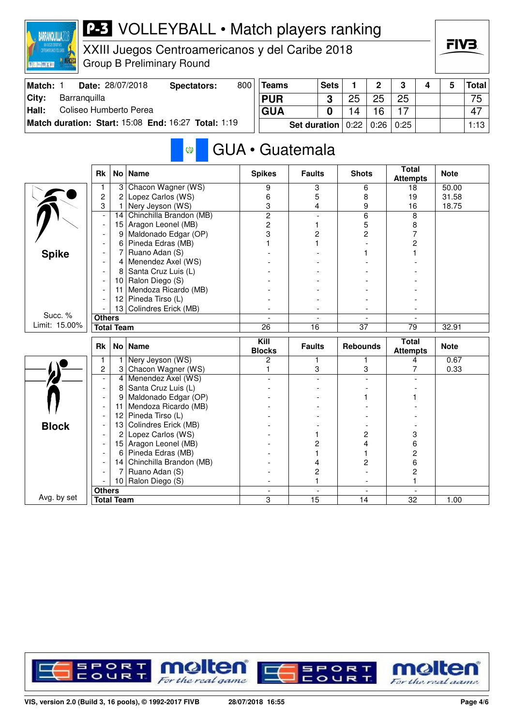

XXIII Juegos Centroamericanos y del Caribe 2018 Group B Preliminary Round

| Match: | Date: 28/07/2018                                    | Spectators: | 800 | <b>Teams</b>          | <b>Sets</b> |    | C    | 3    |  | <b>Total</b> |
|--------|-----------------------------------------------------|-------------|-----|-----------------------|-------------|----|------|------|--|--------------|
| City:  | Barranguilla                                        |             |     | <b>PUR</b>            |             | 25 | 25   | 25   |  | 75           |
| Hall:  | Coliseo Humberto Perea                              |             |     | <b>GUA</b>            |             | 14 | 16   |      |  | 47           |
|        | Match duration: Start: 15:08 End: 16:27 Total: 1:19 |             |     | Set duration $ 0:22 $ |             |    | 0:26 | 0:25 |  | 1:13         |

### GUA • Guatemala Ø

|               | <b>Rk</b>                |                   | No   Name               | <b>Spikes</b>         | <b>Faults</b>            | <b>Shots</b>         | <b>Total</b><br><b>Attempts</b> | <b>Note</b> |
|---------------|--------------------------|-------------------|-------------------------|-----------------------|--------------------------|----------------------|---------------------------------|-------------|
|               |                          | 3                 | Chacon Wagner (WS)      | 9                     | 3                        | 6                    | 18                              | 50.00       |
|               | $\overline{c}$           | 2                 | Lopez Carlos (WS)       | 6                     | 5                        | 8                    | 19                              | 31.58       |
|               | 3                        | 1                 | Nery Jeyson (WS)        | 3                     | 4                        | 9                    | 16                              | 18.75       |
|               | $\overline{a}$           | 14                | Chinchilla Brandon (MB) | $\overline{2}$        |                          | 6                    | 8                               |             |
|               | $\overline{\phantom{a}}$ | 15                | Aragon Leonel (MB)      | $\overline{c}$        | 1                        | 5                    | 8                               |             |
|               |                          | 9                 | Maldonado Edgar (OP)    | 3                     | 2                        | $\overline{c}$       | $\overline{7}$                  |             |
|               |                          | 6                 | Pineda Edras (MB)       |                       | 1                        |                      | 2                               |             |
| <b>Spike</b>  |                          | 7                 | Ruano Adan (S)          |                       |                          |                      |                                 |             |
|               |                          | 4                 | Menendez Axel (WS)      |                       |                          |                      |                                 |             |
|               |                          | 8                 | Santa Cruz Luis (L)     |                       |                          |                      |                                 |             |
|               |                          | 10                | Ralon Diego (S)         |                       |                          |                      |                                 |             |
|               |                          | 11                | Mendoza Ricardo (MB)    |                       |                          |                      |                                 |             |
|               |                          | 12                | Pineda Tirso (L)        |                       |                          |                      |                                 |             |
|               |                          |                   | 13 Colindres Erick (MB) |                       |                          |                      |                                 |             |
| Succ. %       | <b>Others</b>            |                   |                         |                       | $\overline{\phantom{0}}$ |                      |                                 |             |
| Limit: 15.00% |                          | <b>Total Team</b> |                         | 26                    | 16                       | $\overline{37}$      | $\overline{79}$                 | 32.91       |
|               |                          |                   |                         |                       |                          |                      |                                 |             |
|               | <b>Rk</b>                |                   | No   Name               | Kill<br><b>Blocks</b> | <b>Faults</b>            | <b>Rebounds</b>      | <b>Total</b><br><b>Attempts</b> | <b>Note</b> |
|               | 1                        |                   | Nery Jeyson (WS)        | $\overline{c}$        | 1                        | 1                    | 4                               | 0.67        |
|               | $\overline{c}$           | 3                 | Chacon Wagner (WS)      | 1                     | 3                        | 3                    | 7                               | 0.33        |
|               | $\blacksquare$           | 4                 | Menendez Axel (WS)      |                       |                          |                      |                                 |             |
|               | $\overline{a}$           | 8                 | Santa Cruz Luis (L)     |                       |                          |                      |                                 |             |
|               |                          | 9                 | Maldonado Edgar (OP)    |                       |                          |                      |                                 |             |
|               |                          | 11                | Mendoza Ricardo (MB)    |                       |                          |                      |                                 |             |
|               |                          | 12                | Pineda Tirso (L)        |                       |                          |                      |                                 |             |
|               |                          | 13                | Colindres Erick (MB)    |                       |                          |                      |                                 |             |
| <b>Block</b>  |                          | 2                 | Lopez Carlos (WS)       |                       | 1                        | 2                    | 3                               |             |
|               |                          | 15                | Aragon Leonel (MB)      |                       | 2                        | 4                    | 6                               |             |
|               |                          | 6                 | Pineda Edras (MB)       |                       | 1                        |                      | 2                               |             |
|               |                          | 14                | Chinchilla Brandon (MB) |                       | 4                        | 2                    | 6                               |             |
|               |                          | 7                 | Ruano Adan (S)          |                       | 2                        |                      | 2                               |             |
|               |                          | 10 <sup>°</sup>   | Ralon Diego (S)         |                       | 1                        |                      | 1                               |             |
| Avg. by set   | <b>Others</b>            |                   |                         | $\overline{a}$        | $\overline{a}$<br>15     | $\blacksquare$<br>14 | $\overline{a}$                  |             |

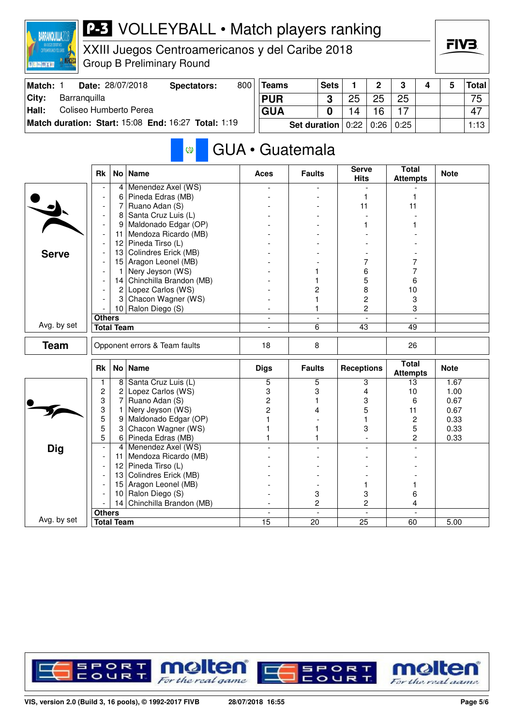

XXIII Juegos Centroamericanos y del Caribe 2018 Group B Preliminary Round

| Match: | Date: 28/07/2018                                    | Spectators: | 800 | <b>Teams</b> | <b>Sets</b> |      | ∩    | ີ    |  | <b>Total</b> |
|--------|-----------------------------------------------------|-------------|-----|--------------|-------------|------|------|------|--|--------------|
| ⊺Citv: | Barranguilla                                        |             |     | <b>PUR</b>   |             | 25   | 25   | 25   |  | 75           |
| Hall:  | Coliseo Humberto Perea                              |             |     | <b>GUA</b>   |             |      | 16   | 17   |  | 47           |
|        | Match duration: Start: 15:08 End: 16:27 Total: 1:19 |             |     | Set duration |             | 0:22 | 0:26 | 0:25 |  | 1:13         |

#### GUA • Guatemala  $\circledcirc$

|              | <b>Rk</b>                |                   | No   Name                     | <b>Aces</b>              | <b>Faults</b>            | <b>Serve</b><br><b>Hits</b> | <b>Total</b><br><b>Attempts</b> | <b>Note</b> |
|--------------|--------------------------|-------------------|-------------------------------|--------------------------|--------------------------|-----------------------------|---------------------------------|-------------|
|              |                          | 4                 | Menendez Axel (WS)            |                          |                          |                             |                                 |             |
|              |                          | 6                 | Pineda Edras (MB)             |                          |                          | 1                           | 1                               |             |
|              | $\blacksquare$           | 7                 | Ruano Adan (S)                |                          |                          | 11                          | 11                              |             |
|              | $\overline{a}$           | 8                 | Santa Cruz Luis (L)           |                          |                          |                             |                                 |             |
|              | L,                       | 9                 | Maldonado Edgar (OP)          |                          |                          |                             |                                 |             |
|              | $\overline{\phantom{a}}$ | 11                | Mendoza Ricardo (MB)          |                          |                          |                             |                                 |             |
|              |                          | 12                | Pineda Tirso (L)              |                          |                          |                             |                                 |             |
| <b>Serve</b> |                          | 13                | Colindres Erick (MB)          |                          |                          |                             |                                 |             |
|              |                          | 15                | Aragon Leonel (MB)            |                          |                          | 7                           | 7                               |             |
|              |                          | 1                 | Nery Jeyson (WS)              |                          |                          | 6                           | 7                               |             |
|              |                          | 14                | Chinchilla Brandon (MB)       |                          |                          | 5                           | 6                               |             |
|              |                          | $\overline{2}$    | Lopez Carlos (WS)             |                          | $\overline{c}$           | 8                           | 10                              |             |
|              |                          | 3                 | Chacon Wagner (WS)            |                          | 1                        | $\overline{c}$              | 3                               |             |
|              |                          |                   | 10 Ralon Diego (S)            |                          | 1                        | $\overline{c}$              | 3                               |             |
|              | <b>Others</b>            |                   |                               | $\overline{\phantom{a}}$ | $\blacksquare$           | $\blacksquare$              | $\overline{\phantom{a}}$        |             |
| Avg. by set  |                          | <b>Total Team</b> |                               | $\overline{a}$           | 6                        | 43                          | 49                              |             |
| <b>Team</b>  |                          |                   | Opponent errors & Team faults | 18                       | 8                        |                             | 26                              |             |
|              | <b>Rk</b>                |                   | No   Name                     | <b>Digs</b>              | <b>Faults</b>            | <b>Receptions</b>           | <b>Total</b><br><b>Attempts</b> | <b>Note</b> |
|              | 1                        | 8                 | Santa Cruz Luis (L)           | $\overline{5}$           | 5                        | 3                           | 13                              | 1.67        |
|              | $\overline{c}$           | 2                 | Lopez Carlos (WS)             | 3                        | 3                        | 4                           | 10                              | 1.00        |
|              | 3                        | 7                 | Ruano Adan (S)                | $\overline{c}$           | 1                        | 3                           | 6                               | 0.67        |
|              | 3                        | 1                 | Nery Jeyson (WS)              | $\overline{c}$           | 4                        | 5                           | 11                              | 0.67        |
|              | 5                        | 9                 | Maldonado Edgar (OP)          |                          |                          |                             | 2                               | 0.33        |
|              | 5                        | 3                 | Chacon Wagner (WS)            |                          | 1                        | 3                           | 5                               | 0.33        |
|              | $\overline{5}$           | 6                 | Pineda Edras (MB)             |                          | 1                        |                             | $\overline{c}$                  | 0.33        |
| <b>Dig</b>   | $\overline{\phantom{a}}$ | 4                 | Menendez Axel (WS)            |                          |                          |                             |                                 |             |
|              |                          | 11                | Mendoza Ricardo (MB)          |                          |                          |                             |                                 |             |
|              |                          | 12                | Pineda Tirso (L)              |                          |                          |                             |                                 |             |
|              |                          | 13                | Colindres Erick (MB)          |                          |                          |                             |                                 |             |
|              |                          | 15                | Aragon Leonel (MB)            |                          |                          |                             | 1                               |             |
|              |                          | 10                | Ralon Diego (S)               |                          | 3                        | 3                           | 6                               |             |
|              |                          | 14                | Chinchilla Brandon (MB)       |                          | $\overline{c}$           | $\overline{c}$              | 4                               |             |
|              | <b>Others</b>            |                   |                               | $\blacksquare$           | $\overline{\phantom{a}}$ | $\sim$                      | $\blacksquare$                  |             |
| Avg. by set  |                          | <b>Total Team</b> |                               | 15                       | 20                       | 25                          | 60                              | 5.00        |